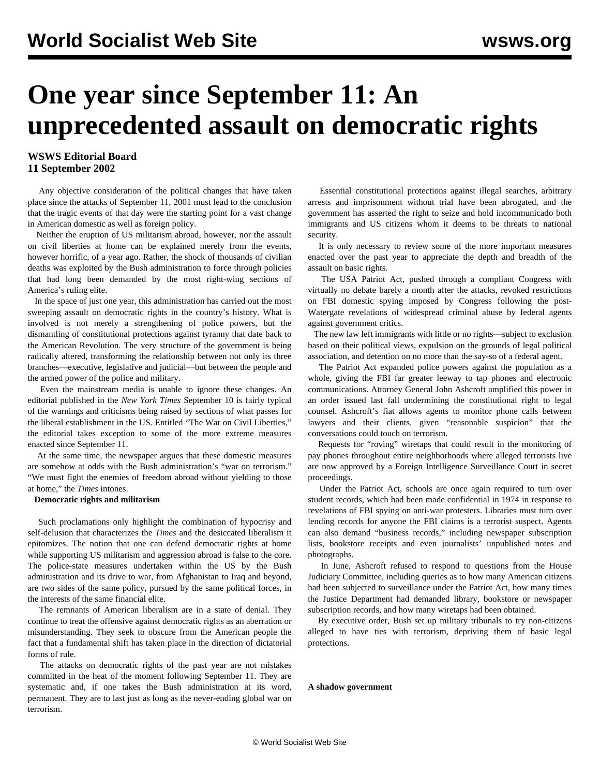# **One year since September 11: An unprecedented assault on democratic rights**

# **WSWS Editorial Board 11 September 2002**

 Any objective consideration of the political changes that have taken place since the attacks of September 11, 2001 must lead to the conclusion that the tragic events of that day were the starting point for a vast change in American domestic as well as foreign policy.

 Neither the eruption of US militarism abroad, however, nor the assault on civil liberties at home can be explained merely from the events, however horrific, of a year ago. Rather, the shock of thousands of civilian deaths was exploited by the Bush administration to force through policies that had long been demanded by the most right-wing sections of America's ruling elite.

 In the space of just one year, this administration has carried out the most sweeping assault on democratic rights in the country's history. What is involved is not merely a strengthening of police powers, but the dismantling of constitutional protections against tyranny that date back to the American Revolution. The very structure of the government is being radically altered, transforming the relationship between not only its three branches—executive, legislative and judicial—but between the people and the armed power of the police and military.

 Even the mainstream media is unable to ignore these changes. An editorial published in the *New York Times* September 10 is fairly typical of the warnings and criticisms being raised by sections of what passes for the liberal establishment in the US. Entitled "The War on Civil Liberties," the editorial takes exception to some of the more extreme measures enacted since September 11.

 At the same time, the newspaper argues that these domestic measures are somehow at odds with the Bush administration's "war on terrorism." "We must fight the enemies of freedom abroad without yielding to those at home," the *Times* intones.

### **Democratic rights and militarism**

 Such proclamations only highlight the combination of hypocrisy and self-delusion that characterizes the *Times* and the desiccated liberalism it epitomizes. The notion that one can defend democratic rights at home while supporting US militarism and aggression abroad is false to the core. The police-state measures undertaken within the US by the Bush administration and its drive to war, from Afghanistan to Iraq and beyond, are two sides of the same policy, pursued by the same political forces, in the interests of the same financial elite.

 The remnants of American liberalism are in a state of denial. They continue to treat the offensive against democratic rights as an aberration or misunderstanding. They seek to obscure from the American people the fact that a fundamental shift has taken place in the direction of dictatorial forms of rule.

 The attacks on democratic rights of the past year are not mistakes committed in the heat of the moment following September 11. They are systematic and, if one takes the Bush administration at its word, permanent. They are to last just as long as the never-ending global war on terrorism.

 Essential constitutional protections against illegal searches, arbitrary arrests and imprisonment without trial have been abrogated, and the government has asserted the right to seize and hold incommunicado both immigrants and US citizens whom it deems to be threats to national security.

 It is only necessary to review some of the more important measures enacted over the past year to appreciate the depth and breadth of the assault on basic rights.

 The USA Patriot Act, pushed through a compliant Congress with virtually no debate barely a month after the attacks, revoked restrictions on FBI domestic spying imposed by Congress following the post-Watergate revelations of widespread criminal abuse by federal agents against government critics.

 The new law left immigrants with little or no rights—subject to exclusion based on their political views, expulsion on the grounds of legal political association, and detention on no more than the say-so of a federal agent.

 The Patriot Act expanded police powers against the population as a whole, giving the FBI far greater leeway to tap phones and electronic communications. Attorney General John Ashcroft amplified this power in an order issued last fall undermining the constitutional right to legal counsel. Ashcroft's fiat allows agents to monitor phone calls between lawyers and their clients, given "reasonable suspicion" that the conversations could touch on terrorism.

 Requests for "roving" wiretaps that could result in the monitoring of pay phones throughout entire neighborhoods where alleged terrorists live are now approved by a Foreign Intelligence Surveillance Court in secret proceedings.

 Under the Patriot Act, schools are once again required to turn over student records, which had been made confidential in 1974 in response to revelations of FBI spying on anti-war protesters. Libraries must turn over lending records for anyone the FBI claims is a terrorist suspect. Agents can also demand "business records," including newspaper subscription lists, bookstore receipts and even journalists' unpublished notes and photographs.

 In June, Ashcroft refused to respond to questions from the House Judiciary Committee, including queries as to how many American citizens had been subjected to surveillance under the Patriot Act, how many times the Justice Department had demanded library, bookstore or newspaper subscription records, and how many wiretaps had been obtained.

 By executive order, Bush set up military tribunals to try non-citizens alleged to have ties with terrorism, depriving them of basic legal protections.

**A shadow government**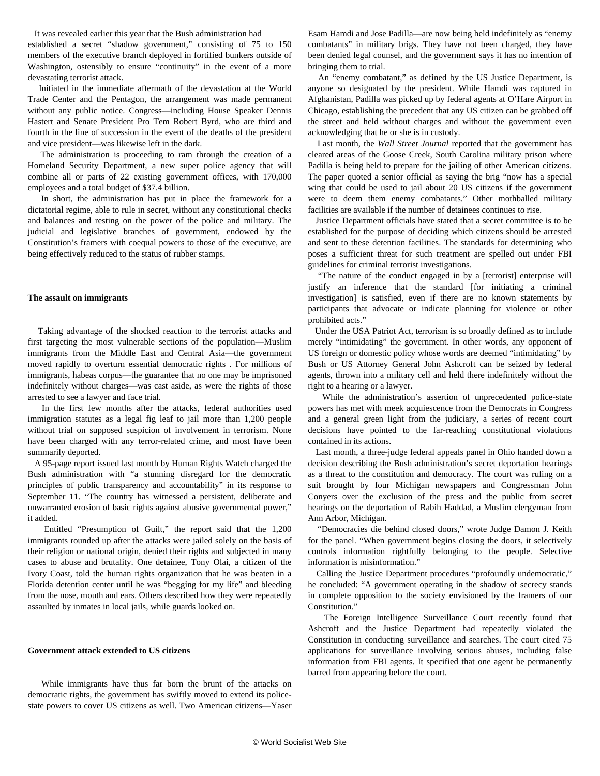It was revealed earlier this year that the Bush administration had established a secret "shadow government," consisting of 75 to 150 members of the executive branch deployed in fortified bunkers outside of Washington, ostensibly to ensure "continuity" in the event of a more devastating terrorist attack.

 Initiated in the immediate aftermath of the devastation at the World Trade Center and the Pentagon, the arrangement was made permanent without any public notice. Congress—including House Speaker Dennis Hastert and Senate President Pro Tem Robert Byrd, who are third and fourth in the line of succession in the event of the deaths of the president and vice president—was likewise left in the dark.

 The administration is proceeding to ram through the creation of a Homeland Security Department, a new super police agency that will combine all or parts of 22 existing government offices, with 170,000 employees and a total budget of \$37.4 billion.

 In short, the administration has put in place the framework for a dictatorial regime, able to rule in secret, without any constitutional checks and balances and resting on the power of the police and military. The judicial and legislative branches of government, endowed by the Constitution's framers with coequal powers to those of the executive, are being effectively reduced to the status of rubber stamps.

#### **The assault on immigrants**

 Taking advantage of the shocked reaction to the terrorist attacks and first targeting the most vulnerable sections of the population—Muslim immigrants from the Middle East and Central Asia—the government moved rapidly to overturn essential democratic rights *.* For millions of immigrants, habeas corpus—the guarantee that no one may be imprisoned indefinitely without charges—was cast aside, as were the rights of those arrested to see a lawyer and face trial.

 In the first few months after the attacks, federal authorities used immigration statutes as a legal fig leaf to jail more than 1,200 people without trial on supposed suspicion of involvement in terrorism. None have been charged with any terror-related crime, and most have been summarily deported.

 A 95-page report issued last month by Human Rights Watch charged the Bush administration with "a stunning disregard for the democratic principles of public transparency and accountability" in its response to September 11. "The country has witnessed a persistent, deliberate and unwarranted erosion of basic rights against abusive governmental power," it added.

 Entitled "Presumption of Guilt," the report said that the 1,200 immigrants rounded up after the attacks were jailed solely on the basis of their religion or national origin, denied their rights and subjected in many cases to abuse and brutality. One detainee, Tony Olai, a citizen of the Ivory Coast, told the human rights organization that he was beaten in a Florida detention center until he was "begging for my life" and bleeding from the nose, mouth and ears. Others described how they were repeatedly assaulted by inmates in local jails, while guards looked on.

#### **Government attack extended to US citizens**

 While immigrants have thus far born the brunt of the attacks on democratic rights, the government has swiftly moved to extend its policestate powers to cover US citizens as well. Two American citizens—Yaser Esam Hamdi and Jose Padilla—are now being held indefinitely as "enemy combatants" in military brigs. They have not been charged, they have been denied legal counsel, and the government says it has no intention of bringing them to trial.

 An "enemy combatant," as defined by the US Justice Department, is anyone so designated by the president. While Hamdi was captured in Afghanistan, Padilla was picked up by federal agents at O'Hare Airport in Chicago, establishing the precedent that any US citizen can be grabbed off the street and held without charges and without the government even acknowledging that he or she is in custody.

 Last month, the *Wall Street Journal* reported that the government has cleared areas of the Goose Creek, South Carolina military prison where Padilla is being held to prepare for the jailing of other American citizens. The paper quoted a senior official as saying the brig "now has a special wing that could be used to jail about 20 US citizens if the government were to deem them enemy combatants." Other mothballed military facilities are available if the number of detainees continues to rise.

 Justice Department officials have stated that a secret committee is to be established for the purpose of deciding which citizens should be arrested and sent to these detention facilities. The standards for determining who poses a sufficient threat for such treatment are spelled out under FBI guidelines for criminal terrorist investigations.

 "The nature of the conduct engaged in by a [terrorist] enterprise will justify an inference that the standard [for initiating a criminal investigation] is satisfied, even if there are no known statements by participants that advocate or indicate planning for violence or other prohibited acts."

 Under the USA Patriot Act, terrorism is so broadly defined as to include merely "intimidating" the government. In other words, any opponent of US foreign or domestic policy whose words are deemed "intimidating" by Bush or US Attorney General John Ashcroft can be seized by federal agents, thrown into a military cell and held there indefinitely without the right to a hearing or a lawyer.

 While the administration's assertion of unprecedented police-state powers has met with meek acquiescence from the Democrats in Congress and a general green light from the judiciary, a series of recent court decisions have pointed to the far-reaching constitutional violations contained in its actions.

 Last month, a three-judge federal appeals panel in Ohio handed down a decision describing the Bush administration's secret deportation hearings as a threat to the constitution and democracy. The court was ruling on a suit brought by four Michigan newspapers and Congressman John Conyers over the exclusion of the press and the public from secret hearings on the deportation of Rabih Haddad, a Muslim clergyman from Ann Arbor, Michigan.

 "Democracies die behind closed doors," wrote Judge Damon J. Keith for the panel. "When government begins closing the doors, it selectively controls information rightfully belonging to the people. Selective information is misinformation."

 Calling the Justice Department procedures "profoundly undemocratic," he concluded: "A government operating in the shadow of secrecy stands in complete opposition to the society envisioned by the framers of our Constitution."

 The Foreign Intelligence Surveillance Court recently found that Ashcroft and the Justice Department had repeatedly violated the Constitution in conducting surveillance and searches. The court cited 75 applications for surveillance involving serious abuses, including false information from FBI agents. It specified that one agent be permanently barred from appearing before the court.